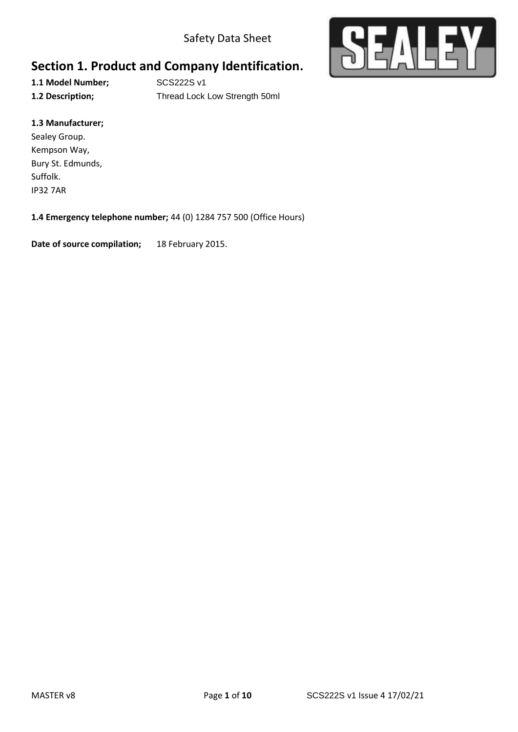Safety Data Sheet



# **Section 1. Product and Company Identification.**

**1.1 Model Number;** SCS222S v1

**1.2 Description;** Thread Lock Low Strength 50ml

#### **1.3 Manufacturer;**

Sealey Group. Kempson Way, Bury St. Edmunds, Suffolk. IP32 7AR

#### **1.4 Emergency telephone number;** 44 (0) 1284 757 500 (Office Hours)

**Date of source compilation;** 18 February 2015.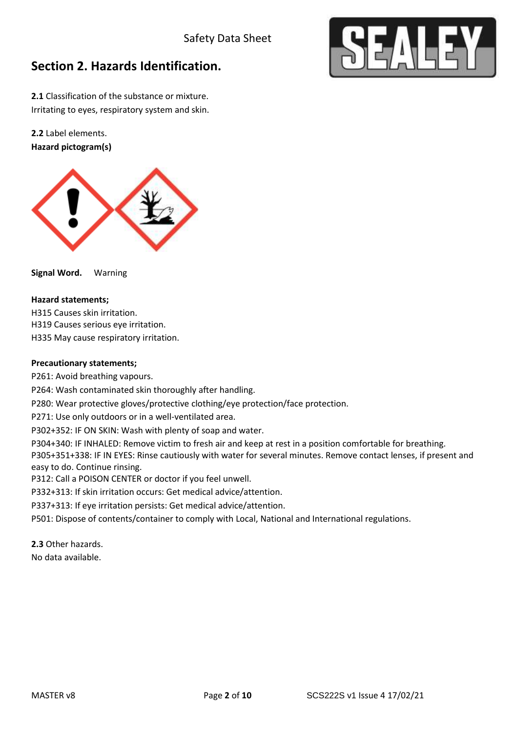

# **Section 2. Hazards Identification.**

**2.1** Classification of the substance or mixture. Irritating to eyes, respiratory system and skin.

**2.2** Label elements. **Hazard pictogram(s)**



**Signal Word.** Warning

#### **Hazard statements;**

H315 Causes skin irritation. H319 Causes serious eye irritation.

H335 May cause respiratory irritation.

#### **Precautionary statements;**

P261: Avoid breathing vapours.

P264: Wash contaminated skin thoroughly after handling.

P280: Wear protective gloves/protective clothing/eye protection/face protection.

P271: Use only outdoors or in a well-ventilated area.

P302+352: IF ON SKIN: Wash with plenty of soap and water.

P304+340: IF INHALED: Remove victim to fresh air and keep at rest in a position comfortable for breathing. P305+351+338: IF IN EYES: Rinse cautiously with water for several minutes. Remove contact lenses, if present and easy to do. Continue rinsing.

P312: Call a POISON CENTER or doctor if you feel unwell.

P332+313: If skin irritation occurs: Get medical advice/attention.

P337+313: If eye irritation persists: Get medical advice/attention.

P501: Dispose of contents/container to comply with Local, National and International regulations.

**2.3** Other hazards.

No data available.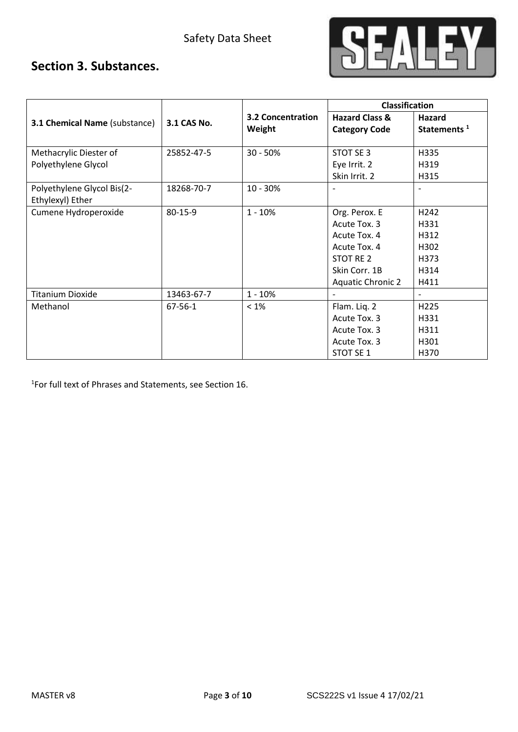

## **Section 3. Substances.**

|                                      |             |                          | <b>Classification</b>     |                          |  |
|--------------------------------------|-------------|--------------------------|---------------------------|--------------------------|--|
| <b>3.1 Chemical Name (substance)</b> | 3.1 CAS No. | <b>3.2 Concentration</b> | <b>Hazard Class &amp;</b> | Hazard                   |  |
|                                      |             | Weight                   | <b>Category Code</b>      | Statements <sup>1</sup>  |  |
|                                      |             |                          |                           |                          |  |
| Methacrylic Diester of               | 25852-47-5  | $30 - 50%$               | STOT SE 3                 | H335                     |  |
| Polyethylene Glycol                  |             |                          | Eye Irrit. 2              | H319                     |  |
|                                      |             |                          | Skin Irrit. 2             | H315                     |  |
| Polyethylene Glycol Bis(2-           | 18268-70-7  | 10 - 30%                 |                           |                          |  |
| Ethylexyl) Ether                     |             |                          |                           |                          |  |
| Cumene Hydroperoxide                 | 80-15-9     | $1 - 10%$                | Org. Perox. E             | H <sub>242</sub>         |  |
|                                      |             |                          | Acute Tox. 3              | H331                     |  |
|                                      |             |                          | Acute Tox. 4              | H312                     |  |
|                                      |             |                          | Acute Tox. 4              | H302                     |  |
|                                      |             |                          | STOT RE 2                 | H373                     |  |
|                                      |             |                          | Skin Corr. 1B             | H314                     |  |
|                                      |             |                          | <b>Aquatic Chronic 2</b>  | H411                     |  |
| <b>Titanium Dioxide</b>              | 13463-67-7  | $1 - 10%$                | $\blacksquare$            | $\overline{\phantom{0}}$ |  |
| Methanol                             | 67-56-1     | $< 1\%$                  | Flam. Liq. 2              | H225                     |  |
|                                      |             |                          | Acute Tox. 3              | H331                     |  |
|                                      |             |                          | Acute Tox. 3              | H311                     |  |
|                                      |             |                          | Acute Tox. 3              | H301                     |  |
|                                      |             |                          | <b>STOT SE 1</b>          | H370                     |  |

1 For full text of Phrases and Statements, see Section 16.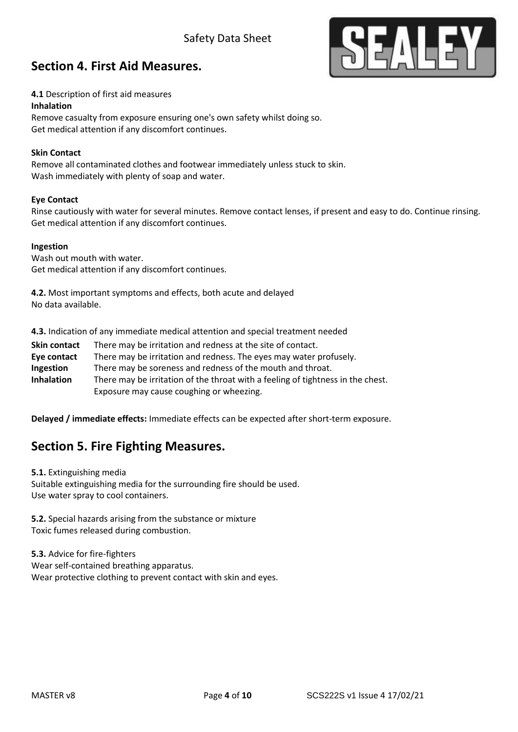### Safety Data Sheet



### **Section 4. First Aid Measures.**

#### **4.1** Description of first aid measures

#### **Inhalation**

Remove casualty from exposure ensuring one's own safety whilst doing so. Get medical attention if any discomfort continues.

#### **Skin Contact**

Remove all contaminated clothes and footwear immediately unless stuck to skin. Wash immediately with plenty of soap and water.

#### **Eye Contact**

Rinse cautiously with water for several minutes. Remove contact lenses, if present and easy to do. Continue rinsing. Get medical attention if any discomfort continues.

#### **Ingestion**

Wash out mouth with water. Get medical attention if any discomfort continues.

**4.2.** Most important symptoms and effects, both acute and delayed No data available.

**4.3.** Indication of any immediate medical attention and special treatment needed

**Skin contact** There may be irritation and redness at the site of contact. **Eye contact** There may be irritation and redness. The eyes may water profusely. **Ingestion** There may be soreness and redness of the mouth and throat. **Inhalation** There may be irritation of the throat with a feeling of tightness in the chest. Exposure may cause coughing or wheezing.

**Delayed / immediate effects:** Immediate effects can be expected after short-term exposure.

### **Section 5. Fire Fighting Measures.**

**5.1.** Extinguishing media Suitable extinguishing media for the surrounding fire should be used. Use water spray to cool containers.

**5.2.** Special hazards arising from the substance or mixture Toxic fumes released during combustion.

**5.3.** Advice for fire-fighters Wear self-contained breathing apparatus. Wear protective clothing to prevent contact with skin and eyes.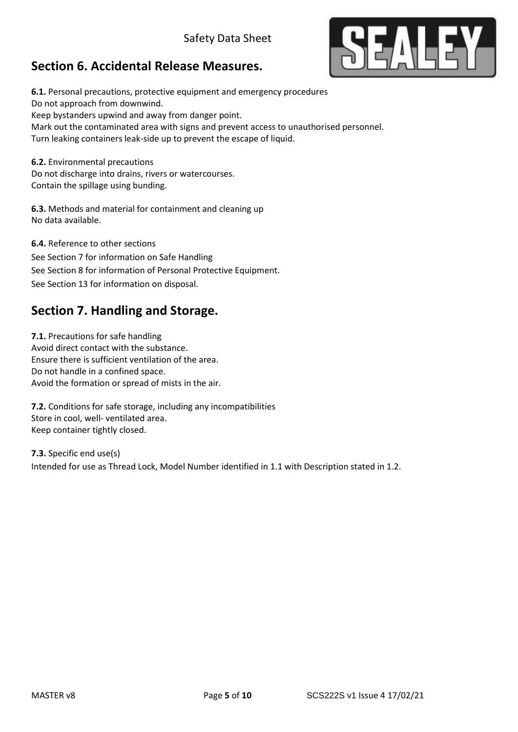# **Section 6. Accidental Release Measures.**



Mark out the contaminated area with signs and prevent access to unauthorised personnel. Turn leaking containers leak-side up to prevent the escape of liquid.

**6.2.** Environmental precautions Do not discharge into drains, rivers or watercourses. Contain the spillage using bunding.

**6.3.** Methods and material for containment and cleaning up No data available.

**6.4.** Reference to other sections See Section 7 for information on Safe Handling See Section 8 for information of Personal Protective Equipment. See Section 13 for information on disposal.

## **Section 7. Handling and Storage.**

**7.1.** Precautions for safe handling Avoid direct contact with the substance. Ensure there is sufficient ventilation of the area. Do not handle in a confined space. Avoid the formation or spread of mists in the air.

**7.2.** Conditions for safe storage, including any incompatibilities Store in cool, well- ventilated area. Keep container tightly closed.

**7.3.** Specific end use(s) Intended for use as Thread Lock, Model Number identified in 1.1 with Description stated in 1.2.

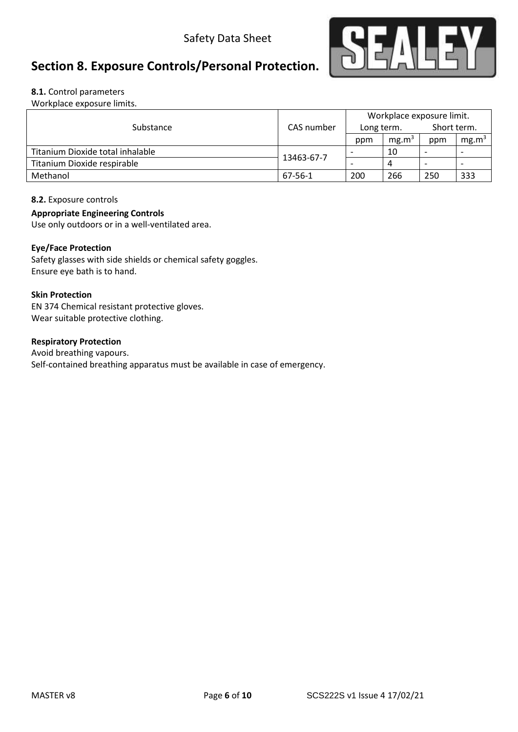

# **Section 8. Exposure Controls/Personal Protection.**

#### **8.1.** Control parameters

Workplace exposure limits.

|                                  |            |                          | Workplace exposure limit. |                          |                   |
|----------------------------------|------------|--------------------------|---------------------------|--------------------------|-------------------|
| Substance                        | CAS number | Long term.               |                           | Short term.              |                   |
|                                  |            | ppm                      | mg.m <sup>3</sup>         | ppm                      | mg.m <sup>3</sup> |
| Titanium Dioxide total inhalable | 13463-67-7 |                          | 10                        | $\overline{\phantom{0}}$ |                   |
| Titanium Dioxide respirable      |            | $\overline{\phantom{0}}$ | 4                         | $\overline{\phantom{0}}$ |                   |
| Methanol                         | 67-56-1    | 200                      | 266                       | 250                      | 333               |

#### **8.2.** Exposure controls

#### **Appropriate Engineering Controls**

Use only outdoors or in a well-ventilated area.

#### **Eye/Face Protection**

Safety glasses with side shields or chemical safety goggles. Ensure eye bath is to hand.

#### **Skin Protection**

EN 374 Chemical resistant protective gloves. Wear suitable protective clothing.

#### **Respiratory Protection**

Avoid breathing vapours. Self-contained breathing apparatus must be available in case of emergency.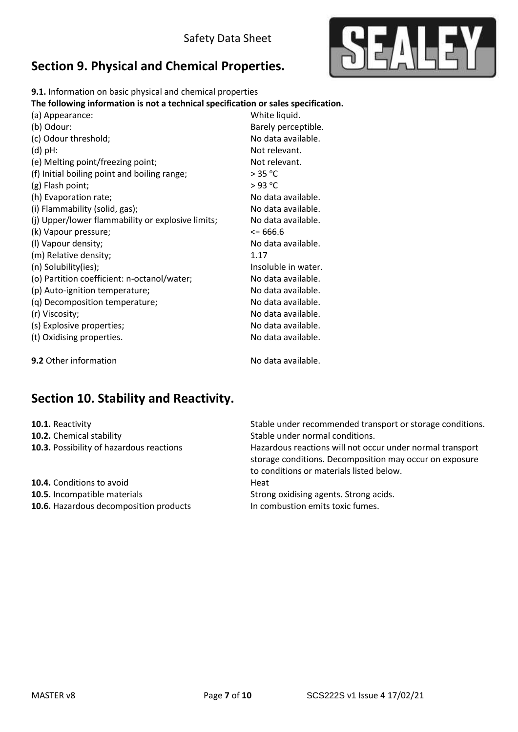

# **Section 9. Physical and Chemical Properties.**

**9.1.** Information on basic physical and chemical properties

**The following information is not a technical specification or sales specification.**

| (a) Appearance:                                   | White liquid.       |
|---------------------------------------------------|---------------------|
| (b) Odour:                                        | Barely perceptible. |
| (c) Odour threshold;                              | No data available.  |
| $(d)$ pH:                                         | Not relevant.       |
| (e) Melting point/freezing point;                 | Not relevant.       |
| (f) Initial boiling point and boiling range;      | > 35 °C             |
| (g) Flash point;                                  | $>93$ °C            |
| (h) Evaporation rate;                             | No data available.  |
| (i) Flammability (solid, gas);                    | No data available.  |
| (j) Upper/lower flammability or explosive limits; | No data available.  |
| (k) Vapour pressure;                              | $\leq$ 666.6        |
| (I) Vapour density;                               | No data available.  |
| (m) Relative density;                             | 1.17                |
| (n) Solubility(ies);                              | Insoluble in water. |
| (o) Partition coefficient: n-octanol/water;       | No data available.  |
| (p) Auto-ignition temperature;                    | No data available.  |
| (q) Decomposition temperature;                    | No data available.  |
| (r) Viscosity;                                    | No data available.  |
| (s) Explosive properties;                         | No data available.  |
| (t) Oxidising properties.                         | No data available.  |
| <b>9.2</b> Other information                      | No data available.  |

## **Section 10. Stability and Reactivity.**

**10.2.** Chemical stability **10.2.** Chemical stability

**10.4.** Conditions to avoid **Heat 10.5.** Incompatible materials **10.5.** Strong oxidising agents. Strong acids. **10.6.** Hazardous decomposition products In combustion emits toxic fumes.

**10.1.** Reactivity **10.1.** Reactivity **10.1.** Reactivity

**10.3.** Possibility of hazardous reactions **Hazardous reactions will not occur under normal transport** storage conditions. Decomposition may occur on exposure to conditions or materials listed below.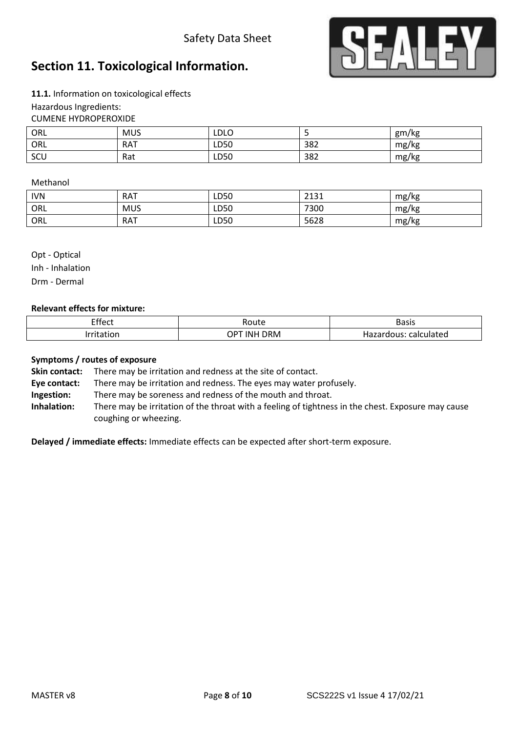### Safety Data Sheet



### **Section 11. Toxicological Information.**

**11.1.** Information on toxicological effects Hazardous Ingredients: CUMENE HYDROPEROXIDE

| ORL | <b>MUS</b> | LDLO |     | gm/kg |
|-----|------------|------|-----|-------|
| ORL | <b>RAT</b> | LD50 | 382 | mg/kg |
| SCU | Rat        | LD50 | 382 | mg/kg |

#### Methanol

| <b>IVN</b> | <b>RAT</b> | LD50 | 7121<br>لادبك | mg/kg |
|------------|------------|------|---------------|-------|
| ORL        | <b>MUS</b> | LD50 | 7300          | mg/kg |
| ORL        | <b>RAT</b> | LD50 | 5628          | mg/kg |

Opt - Optical Inh - Inhalation Drm - Dermal

#### **Relevant effects for mixture:**

| Effect<br>___ | 'oute                | <b>Basis</b>                                   |
|---------------|----------------------|------------------------------------------------|
| __            | ר ORM<br>INI<br>י טו | calculated<br>.<br><b>Tialed</b><br>uous<br>٦d |

#### **Symptoms / routes of exposure**

**Skin contact:** There may be irritation and redness at the site of contact.

**Eye contact:** There may be irritation and redness. The eyes may water profusely.

**Ingestion:** There may be soreness and redness of the mouth and throat.

**Inhalation:** There may be irritation of the throat with a feeling of tightness in the chest. Exposure may cause coughing or wheezing.

**Delayed / immediate effects:** Immediate effects can be expected after short-term exposure.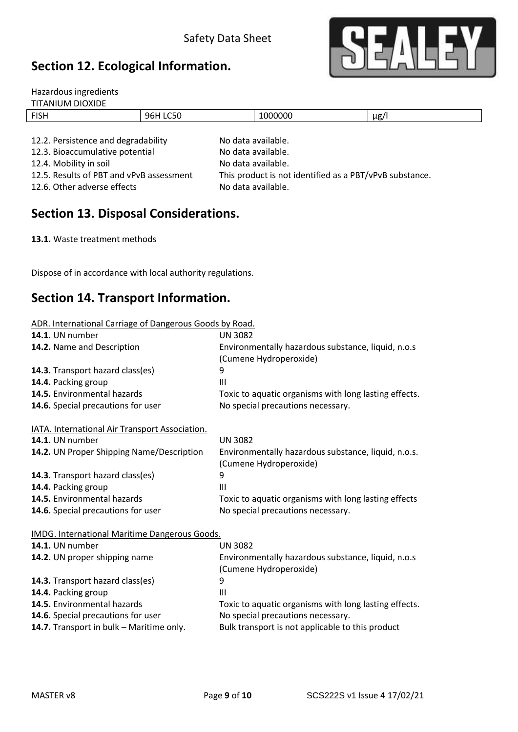## **Section 12. Ecological Information.**



| Hazardous ingredients               |          |                    |           |
|-------------------------------------|----------|--------------------|-----------|
| <b>TITANIUM DIOXIDE</b>             |          |                    |           |
| <b>FISH</b>                         | 96H LC50 | 1000000            | $\mu$ g/l |
|                                     |          |                    |           |
| 12.2. Persistence and degradability |          | No data available. |           |
| 12.3. Bioaccumulative potential     |          | No data available. |           |

12.6. Other adverse effects No data available.

12.4. Mobility in soil and the No data available. 12.5. Results of PBT and vPvB assessment This product is not identified as a PBT/vPvB substance.

### **Section 13. Disposal Considerations.**

**13.1.** Waste treatment methods

Dispose of in accordance with local authority regulations.

### **Section 14. Transport Information.**

| ADR. International Carriage of Dangerous Goods by Road. |
|---------------------------------------------------------|
|---------------------------------------------------------|

| <b>UN 3082</b>                                        |
|-------------------------------------------------------|
| Environmentally hazardous substance, liquid, n.o.s    |
| (Cumene Hydroperoxide)                                |
| 9                                                     |
| III                                                   |
| Toxic to aquatic organisms with long lasting effects. |
| No special precautions necessary.                     |
|                                                       |
| <b>UN 3082</b>                                        |
| Environmentally hazardous substance, liquid, n.o.s.   |
| (Cumene Hydroperoxide)                                |
| 9                                                     |
| $\mathbf{III}$                                        |
| Toxic to aquatic organisms with long lasting effects  |
| No special precautions necessary.                     |
| <b>IMDG. International Maritime Dangerous Goods.</b>  |
| <b>UN 3082</b>                                        |
| Environmentally hazardous substance, liquid, n.o.s    |
| (Cumene Hydroperoxide)                                |
| 9                                                     |
| $\mathbf{III}$                                        |
| Toxic to aquatic organisms with long lasting effects. |
| No special precautions necessary.                     |
| Bulk transport is not applicable to this product      |
|                                                       |